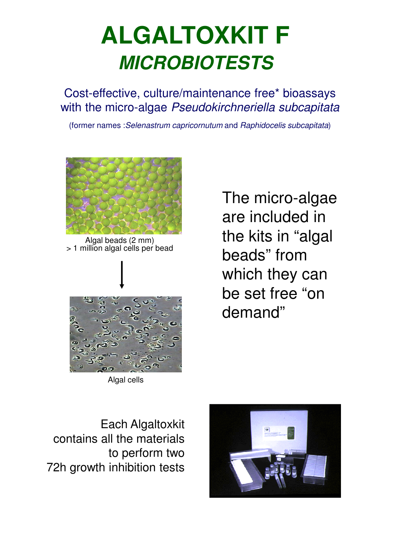## **ALGALTOXKIT F MICROBIOTESTS**

Cost-effective, culture/maintenance free\* bioassays with the micro-algae Pseudokirchneriella subcapitata

(former names :Selenastrum capricornutum and Raphidocelis subcapitata)



Algal beads (2 mm) > 1 million algal cells per bead



Algal cells

The micro-algae are included in the kits in "algal beads" from which they can be set free "on demand"

Each Algaltoxkit contains all the materials to perform two 72h growth inhibition tests